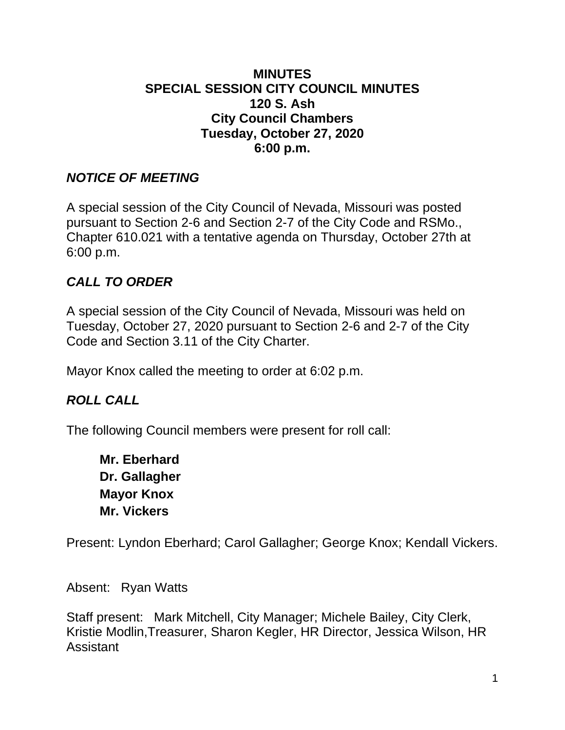#### **MINUTES SPECIAL SESSION CITY COUNCIL MINUTES 120 S. Ash City Council Chambers Tuesday, October 27, 2020 6:00 p.m.**

#### *NOTICE OF MEETING*

A special session of the City Council of Nevada, Missouri was posted pursuant to Section 2-6 and Section 2-7 of the City Code and RSMo., Chapter 610.021 with a tentative agenda on Thursday, October 27th at 6:00 p.m.

# *CALL TO ORDER*

A special session of the City Council of Nevada, Missouri was held on Tuesday, October 27, 2020 pursuant to Section 2-6 and 2-7 of the City Code and Section 3.11 of the City Charter.

Mayor Knox called the meeting to order at 6:02 p.m.

## *ROLL CALL*

The following Council members were present for roll call:

**Mr. Eberhard Dr. Gallagher Mayor Knox Mr. Vickers**

Present: Lyndon Eberhard; Carol Gallagher; George Knox; Kendall Vickers.

Absent: Ryan Watts

Staff present: Mark Mitchell, City Manager; Michele Bailey, City Clerk, Kristie Modlin,Treasurer, Sharon Kegler, HR Director, Jessica Wilson, HR **Assistant**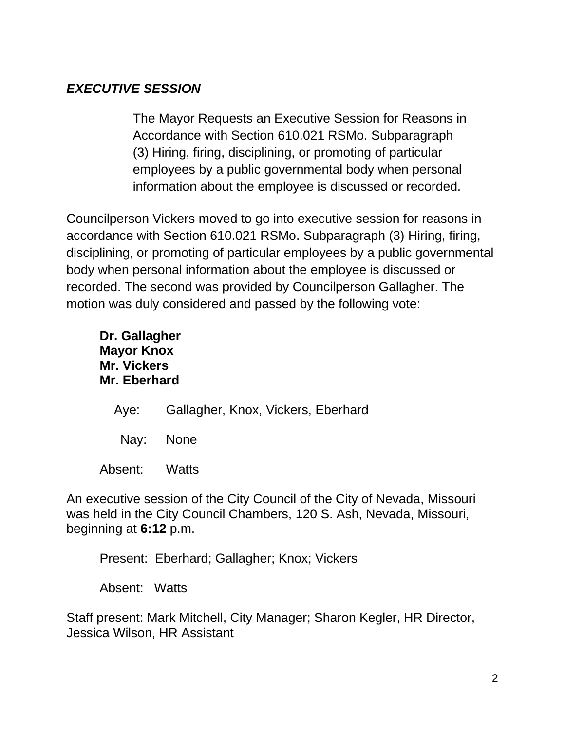# *EXECUTIVE SESSION*

The Mayor Requests an Executive Session for Reasons in Accordance with Section 610.021 RSMo. Subparagraph (3) Hiring, firing, disciplining, or promoting of particular employees by a public governmental body when personal information about the employee is discussed or recorded.

Councilperson Vickers moved to go into executive session for reasons in accordance with Section 610.021 RSMo. Subparagraph (3) Hiring, firing, disciplining, or promoting of particular employees by a public governmental body when personal information about the employee is discussed or recorded. The second was provided by Councilperson Gallagher. The motion was duly considered and passed by the following vote:

**Dr. Gallagher Mayor Knox Mr. Vickers Mr. Eberhard**

- Aye: Gallagher, Knox, Vickers, Eberhard
- Nay: None

Absent: Watts

An executive session of the City Council of the City of Nevada, Missouri was held in the City Council Chambers, 120 S. Ash, Nevada, Missouri, beginning at **6:12** p.m.

Present: Eberhard; Gallagher; Knox; Vickers

Absent: Watts

Staff present: Mark Mitchell, City Manager; Sharon Kegler, HR Director, Jessica Wilson, HR Assistant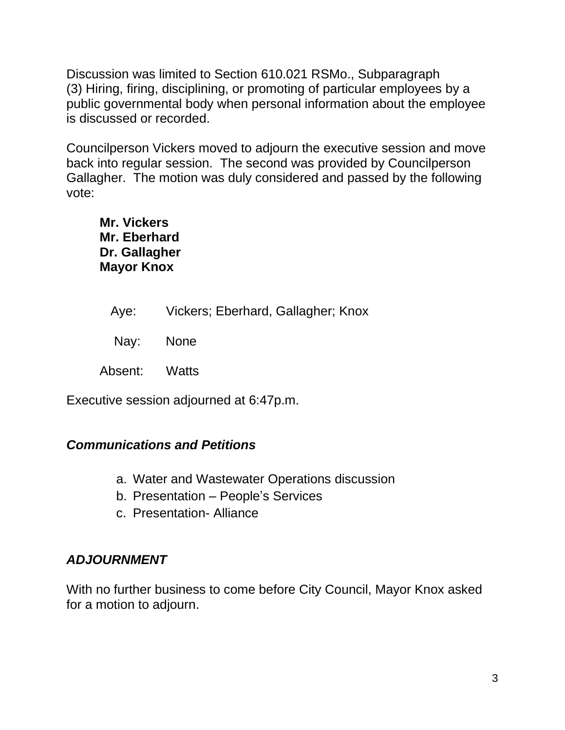Discussion was limited to Section 610.021 RSMo., Subparagraph (3) Hiring, firing, disciplining, or promoting of particular employees by a public governmental body when personal information about the employee is discussed or recorded.

Councilperson Vickers moved to adjourn the executive session and move back into regular session. The second was provided by Councilperson Gallagher. The motion was duly considered and passed by the following vote:

**Mr. Vickers Mr. Eberhard Dr. Gallagher Mayor Knox**

|               | Aye: Vickers; Eberhard, Gallagher; Knox |
|---------------|-----------------------------------------|
| Nay: None     |                                         |
| Absent: Watts |                                         |

Executive session adjourned at 6:47p.m.

## *Communications and Petitions*

- a. Water and Wastewater Operations discussion
- b. Presentation People's Services
- c. Presentation- Alliance

## *ADJOURNMENT*

With no further business to come before City Council, Mayor Knox asked for a motion to adjourn.